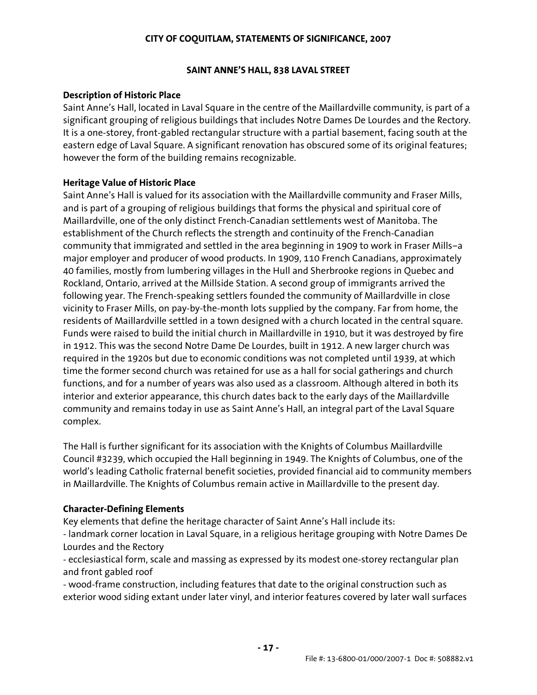# **CITY OF COQUITLAM, STATEMENTS OF SIGNIFICANCE, 2007**

## **SAINT ANNE'S HALL, 838 LAVAL STREET**

## **Description of Historic Place**

Saint Anne's Hall, located in Laval Square in the centre of the Maillardville community, is part of a significant grouping of religious buildings that includes Notre Dames De Lourdes and the Rectory. It is a one-storey, front-gabled rectangular structure with a partial basement, facing south at the eastern edge of Laval Square. A significant renovation has obscured some of its original features; however the form of the building remains recognizable.

# **Heritage Value of Historic Place**

Saint Anne's Hall is valued for its association with the Maillardville community and Fraser Mills, and is part of a grouping of religious buildings that forms the physical and spiritual core of Maillardville, one of the only distinct French-Canadian settlements west of Manitoba. The establishment of the Church reflects the strength and continuity of the French-Canadian community that immigrated and settled in the area beginning in 1909 to work in Fraser Mills–a major employer and producer of wood products. In 1909, 110 French Canadians, approximately 40 families, mostly from lumbering villages in the Hull and Sherbrooke regions in Quebec and Rockland, Ontario, arrived at the Millside Station. A second group of immigrants arrived the following year. The French-speaking settlers founded the community of Maillardville in close vicinity to Fraser Mills, on pay-by-the-month lots supplied by the company. Far from home, the residents of Maillardville settled in a town designed with a church located in the central square. Funds were raised to build the initial church in Maillardville in 1910, but it was destroyed by fire in 1912. This was the second Notre Dame De Lourdes, built in 1912. A new larger church was required in the 1920s but due to economic conditions was not completed until 1939, at which time the former second church was retained for use as a hall for social gatherings and church functions, and for a number of years was also used as a classroom. Although altered in both its interior and exterior appearance, this church dates back to the early days of the Maillardville community and remains today in use as Saint Anne's Hall, an integral part of the Laval Square complex.

The Hall is further significant for its association with the Knights of Columbus Maillardville Council #3239, which occupied the Hall beginning in 1949. The Knights of Columbus, one of the world's leading Catholic fraternal benefit societies, provided financial aid to community members in Maillardville. The Knights of Columbus remain active in Maillardville to the present day.

# **Character-Defining Elements**

Key elements that define the heritage character of Saint Anne's Hall include its:

- landmark corner location in Laval Square, in a religious heritage grouping with Notre Dames De Lourdes and the Rectory

- ecclesiastical form, scale and massing as expressed by its modest one-storey rectangular plan and front gabled roof

- wood-frame construction, including features that date to the original construction such as exterior wood siding extant under later vinyl, and interior features covered by later wall surfaces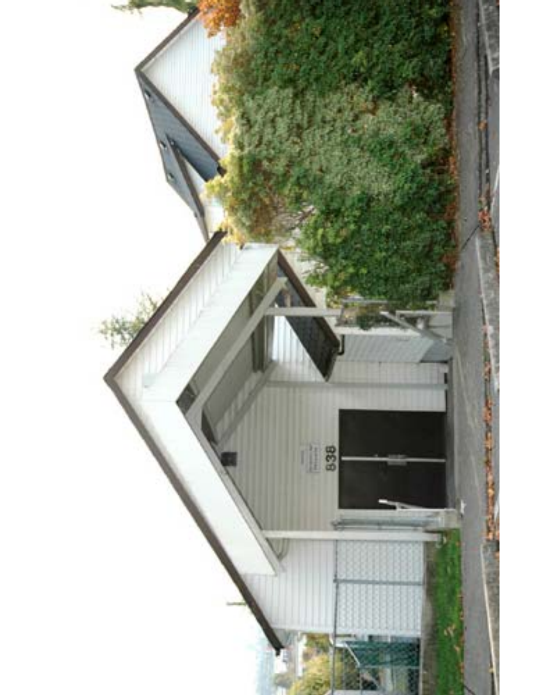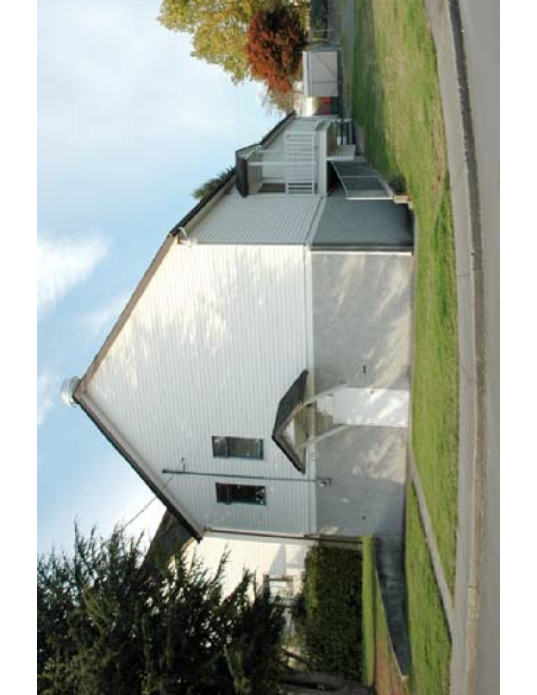